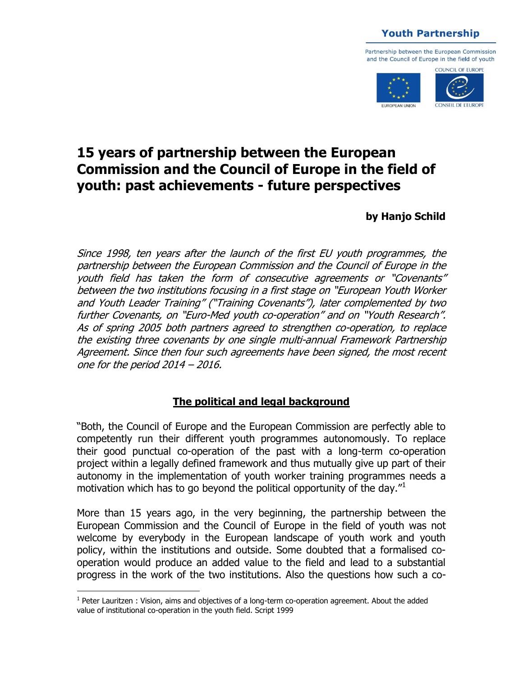**Youth Partnership** 

Partnership between the European Commission and the Council of Europe in the field of youth



# **15 years of partnership between the European Commission and the Council of Europe in the field of youth: past achievements - future perspectives**

### **by Hanjo Schild**

Since 1998, ten years after the launch of the first EU youth programmes, the partnership between the European Commission and the Council of Europe in the youth field has taken the form of consecutive agreements or "Covenants" between the two institutions focusing in a first stage on "European Youth Worker and Youth Leader Training" ("Training Covenants"), later complemented by two further Covenants, on "Euro-Med youth co-operation" and on "Youth Research". As of spring 2005 both partners agreed to strengthen co-operation, to replace the existing three covenants by one single multi-annual Framework Partnership Agreement. Since then four such agreements have been signed, the most recent one for the period 2014 – 2016.

#### **The political and legal background**

"Both, the Council of Europe and the European Commission are perfectly able to competently run their different youth programmes autonomously. To replace their good punctual co-operation of the past with a long-term co-operation project within a legally defined framework and thus mutually give up part of their autonomy in the implementation of youth worker training programmes needs a motivation which has to go beyond the political opportunity of the day." $1$ 

More than 15 years ago, in the very beginning, the partnership between the European Commission and the Council of Europe in the field of youth was not welcome by everybody in the European landscape of youth work and youth policy, within the institutions and outside. Some doubted that a formalised cooperation would produce an added value to the field and lead to a substantial progress in the work of the two institutions. Also the questions how such a co-

<sup>&</sup>lt;sup>1</sup> Peter Lauritzen : Vision, aims and objectives of a long-term co-operation agreement. About the added value of institutional co-operation in the youth field. Script 1999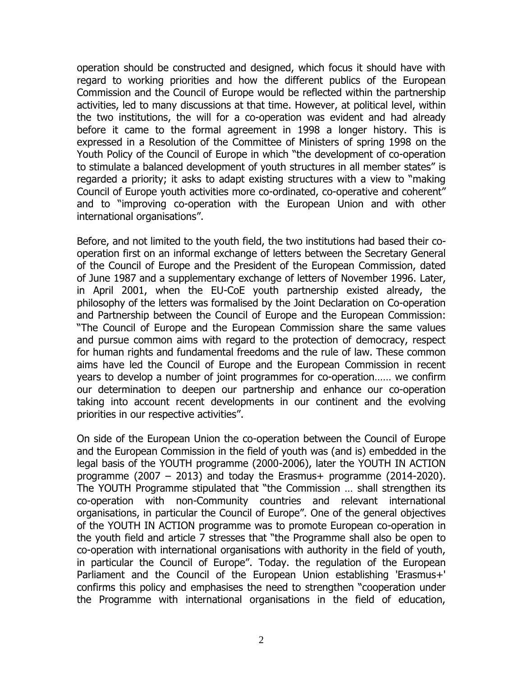operation should be constructed and designed, which focus it should have with regard to working priorities and how the different publics of the European Commission and the Council of Europe would be reflected within the partnership activities, led to many discussions at that time. However, at political level, within the two institutions, the will for a co-operation was evident and had already before it came to the formal agreement in 1998 a longer history. This is expressed in a Resolution of the Committee of Ministers of spring 1998 on the Youth Policy of the Council of Europe in which "the development of co-operation to stimulate a balanced development of youth structures in all member states" is regarded a priority; it asks to adapt existing structures with a view to "making Council of Europe youth activities more co-ordinated, co-operative and coherent" and to "improving co-operation with the European Union and with other international organisations".

Before, and not limited to the youth field, the two institutions had based their cooperation first on an informal exchange of letters between the Secretary General of the Council of Europe and the President of the European Commission, dated of June 1987 and a supplementary exchange of letters of November 1996. Later, in April 2001, when the EU-CoE youth partnership existed already, the philosophy of the letters was formalised by the Joint Declaration on Co-operation and Partnership between the Council of Europe and the European Commission: "The Council of Europe and the European Commission share the same values and pursue common aims with regard to the protection of democracy, respect for human rights and fundamental freedoms and the rule of law. These common aims have led the Council of Europe and the European Commission in recent years to develop a number of joint programmes for co-operation…… we confirm our determination to deepen our partnership and enhance our co-operation taking into account recent developments in our continent and the evolving priorities in our respective activities".

On side of the European Union the co-operation between the Council of Europe and the European Commission in the field of youth was (and is) embedded in the legal basis of the YOUTH programme (2000-2006), later the YOUTH IN ACTION programme (2007 – 2013) and today the Erasmus+ programme (2014-2020). The YOUTH Programme stipulated that "the Commission … shall strengthen its co-operation with non-Community countries and relevant international organisations, in particular the Council of Europe". One of the general objectives of the YOUTH IN ACTION programme was to promote European co-operation in the youth field and article 7 stresses that "the Programme shall also be open to co-operation with international organisations with authority in the field of youth, in particular the Council of Europe". Today. the regulation of the European Parliament and the Council of the European Union establishing 'Erasmus+' confirms this policy and emphasises the need to strengthen "cooperation under the Programme with international organisations in the field of education,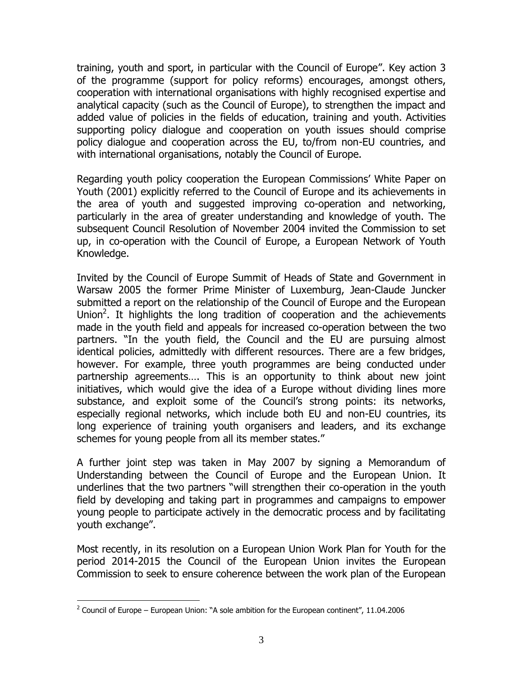training, youth and sport, in particular with the Council of Europe". Key action 3 of the programme (support for policy reforms) encourages, amongst others, cooperation with international organisations with highly recognised expertise and analytical capacity (such as the Council of Europe), to strengthen the impact and added value of policies in the fields of education, training and youth. Activities supporting policy dialogue and cooperation on youth issues should comprise policy dialogue and cooperation across the EU, to/from non-EU countries, and with international organisations, notably the Council of Europe.

Regarding youth policy cooperation the European Commissions' White Paper on Youth (2001) explicitly referred to the Council of Europe and its achievements in the area of youth and suggested improving co-operation and networking, particularly in the area of greater understanding and knowledge of youth. The subsequent Council Resolution of November 2004 invited the Commission to set up, in co-operation with the Council of Europe, a European Network of Youth Knowledge.

Invited by the Council of Europe Summit of Heads of State and Government in Warsaw 2005 the former Prime Minister of Luxemburg, Jean-Claude Juncker submitted a report on the relationship of the Council of Europe and the European Union<sup>2</sup>. It highlights the long tradition of cooperation and the achievements made in the youth field and appeals for increased co-operation between the two partners. "In the youth field, the Council and the EU are pursuing almost identical policies, admittedly with different resources. There are a few bridges, however. For example, three youth programmes are being conducted under partnership agreements…. This is an opportunity to think about new joint initiatives, which would give the idea of a Europe without dividing lines more substance, and exploit some of the Council's strong points: its networks, especially regional networks, which include both EU and non-EU countries, its long experience of training youth organisers and leaders, and its exchange schemes for young people from all its member states."

A further joint step was taken in May 2007 by signing a Memorandum of Understanding between the Council of Europe and the European Union. It underlines that the two partners "will strengthen their co-operation in the youth field by developing and taking part in programmes and campaigns to empower young people to participate actively in the democratic process and by facilitating youth exchange".

Most recently, in its resolution on a European Union Work Plan for Youth for the period 2014-2015 the Council of the European Union invites the European Commission to seek to ensure coherence between the work plan of the European

 $2$  Council of Europe – European Union: "A sole ambition for the European continent", 11.04.2006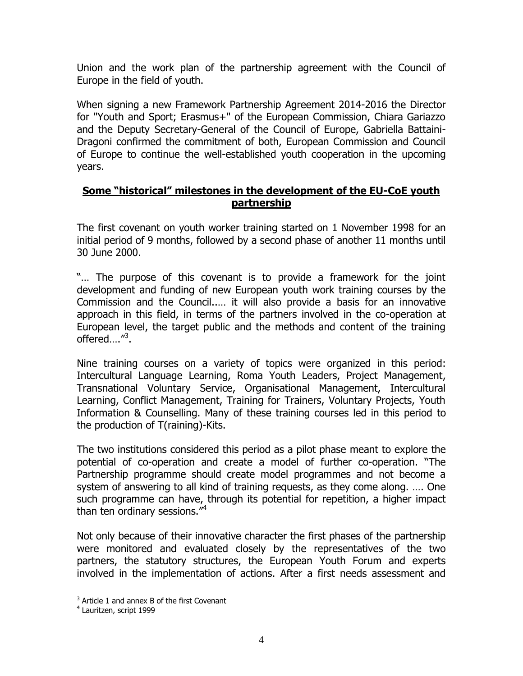Union and the work plan of the partnership agreement with the Council of Europe in the field of youth.

When signing a new Framework Partnership Agreement 2014-2016 the Director for "Youth and Sport; Erasmus+" of the European Commission, Chiara Gariazzo and the Deputy Secretary-General of the Council of Europe, Gabriella Battaini-Dragoni confirmed the commitment of both, European Commission and Council of Europe to continue the well-established youth cooperation in the upcoming years.

#### **Some "historical" milestones in the development of the EU-CoE youth partnership**

The first covenant on youth worker training started on 1 November 1998 for an initial period of 9 months, followed by a second phase of another 11 months until 30 June 2000.

"… The purpose of this covenant is to provide a framework for the joint development and funding of new European youth work training courses by the Commission and the Council..… it will also provide a basis for an innovative approach in this field, in terms of the partners involved in the co-operation at European level, the target public and the methods and content of the training offered...."<sup>3</sup>.

Nine training courses on a variety of topics were organized in this period: Intercultural Language Learning, Roma Youth Leaders, Project Management, Transnational Voluntary Service, Organisational Management, Intercultural Learning, Conflict Management, Training for Trainers, Voluntary Projects, Youth Information & Counselling. Many of these training courses led in this period to the production of T(raining)-Kits.

The two institutions considered this period as a pilot phase meant to explore the potential of co-operation and create a model of further co-operation. "The Partnership programme should create model programmes and not become a system of answering to all kind of training requests, as they come along. …. One such programme can have, through its potential for repetition, a higher impact than ten ordinary sessions."<sup>4</sup>

Not only because of their innovative character the first phases of the partnership were monitored and evaluated closely by the representatives of the two partners, the statutory structures, the European Youth Forum and experts involved in the implementation of actions. After a first needs assessment and

 $3$  Article 1 and annex B of the first Covenant

<sup>4</sup> Lauritzen, script 1999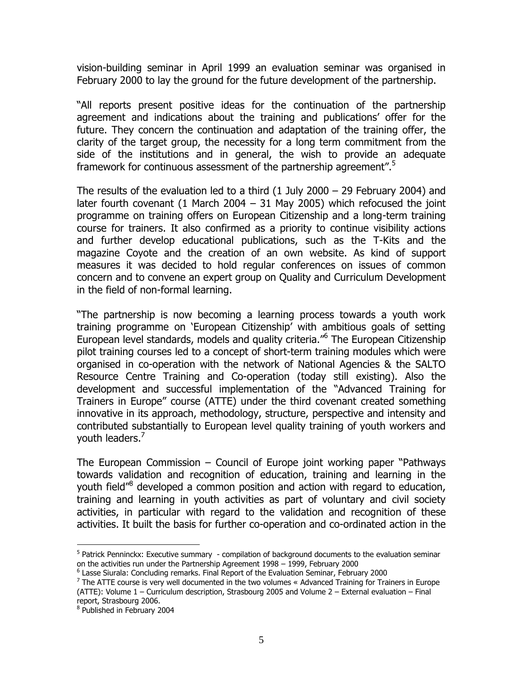vision-building seminar in April 1999 an evaluation seminar was organised in February 2000 to lay the ground for the future development of the partnership.

"All reports present positive ideas for the continuation of the partnership agreement and indications about the training and publications' offer for the future. They concern the continuation and adaptation of the training offer, the clarity of the target group, the necessity for a long term commitment from the side of the institutions and in general, the wish to provide an adequate framework for continuous assessment of the partnership agreement".<sup>5</sup>

The results of the evaluation led to a third (1 July 2000 – 29 February 2004) and later fourth covenant (1 March 2004 – 31 May 2005) which refocused the joint programme on training offers on European Citizenship and a long-term training course for trainers. It also confirmed as a priority to continue visibility actions and further develop educational publications, such as the T-Kits and the magazine Coyote and the creation of an own website. As kind of support measures it was decided to hold regular conferences on issues of common concern and to convene an expert group on Quality and Curriculum Development in the field of non-formal learning.

"The partnership is now becoming a learning process towards a youth work training programme on 'European Citizenship' with ambitious goals of setting European level standards, models and quality criteria."<sup>6</sup> The European Citizenship pilot training courses led to a concept of short-term training modules which were organised in co-operation with the network of National Agencies & the SALTO Resource Centre Training and Co-operation (today still existing). Also the development and successful implementation of the "Advanced Training for Trainers in Europe" course (ATTE) under the third covenant created something innovative in its approach, methodology, structure, perspective and intensity and contributed substantially to European level quality training of youth workers and vouth leaders.<sup>7</sup>

The European Commission – Council of Europe joint working paper "Pathways towards validation and recognition of education, training and learning in the youth field<sup>"8</sup> developed a common position and action with regard to education, training and learning in youth activities as part of voluntary and civil society activities, in particular with regard to the validation and recognition of these activities. It built the basis for further co-operation and co-ordinated action in the

<sup>&</sup>lt;sup>5</sup> Patrick Penninckx: Executive summary - compilation of background documents to the evaluation seminar on the activities run under the Partnership Agreement 1998 – 1999, February 2000

<sup>&</sup>lt;sup>6</sup> Lasse Siurala: Concluding remarks. Final Report of the Evaluation Seminar, February 2000

 $7$  The ATTE course is very well documented in the two volumes « Advanced Training for Trainers in Europe (ATTE): Volume 1 – Curriculum description, Strasbourg 2005 and Volume 2 – External evaluation – Final report, Strasbourg 2006.

<sup>&</sup>lt;sup>8</sup> Published in February 2004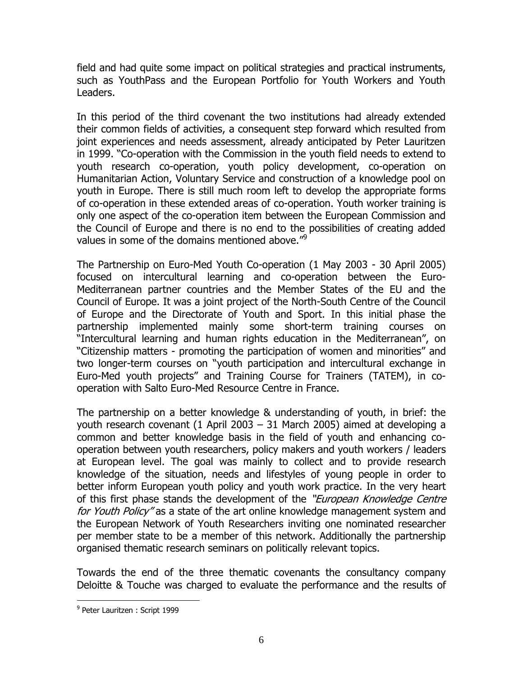field and had quite some impact on political strategies and practical instruments, such as YouthPass and the European Portfolio for Youth Workers and Youth Leaders.

In this period of the third covenant the two institutions had already extended their common fields of activities, a consequent step forward which resulted from joint experiences and needs assessment, already anticipated by Peter Lauritzen in 1999. "Co-operation with the Commission in the youth field needs to extend to youth research co-operation, youth policy development, co-operation on Humanitarian Action, Voluntary Service and construction of a knowledge pool on youth in Europe. There is still much room left to develop the appropriate forms of co-operation in these extended areas of co-operation. Youth worker training is only one aspect of the co-operation item between the European Commission and the Council of Europe and there is no end to the possibilities of creating added values in some of the domains mentioned above." $9^{\degree}$ 

The Partnership on Euro-Med Youth Co-operation (1 May 2003 - 30 April 2005) focused on intercultural learning and co-operation between the Euro-Mediterranean partner countries and the Member States of the EU and the Council of Europe. It was a joint project of the North-South Centre of the Council of Europe and the Directorate of Youth and Sport. In this initial phase the partnership implemented mainly some short-term training courses on "Intercultural learning and human rights education in the Mediterranean", on "Citizenship matters - promoting the participation of women and minorities" and two longer-term courses on "youth participation and intercultural exchange in Euro-Med youth projects" and Training Course for Trainers (TATEM), in cooperation with Salto Euro-Med Resource Centre in France.

The partnership on a better knowledge & understanding of youth, in brief: the youth research covenant (1 April 2003 – 31 March 2005) aimed at developing a common and better knowledge basis in the field of youth and enhancing cooperation between youth researchers, policy makers and youth workers / leaders at European level. The goal was mainly to collect and to provide research knowledge of the situation, needs and lifestyles of young people in order to better inform European youth policy and youth work practice. In the very heart of this first phase stands the development of the "*European Knowledge Centre* for Youth Policy" as a state of the art online knowledge management system and the European Network of Youth Researchers inviting one nominated researcher per member state to be a member of this network. Additionally the partnership organised thematic research seminars on politically relevant topics.

Towards the end of the three thematic covenants the consultancy company Deloitte & Touche was charged to evaluate the performance and the results of

<sup>&</sup>lt;sup>9</sup> Peter Lauritzen : Script 1999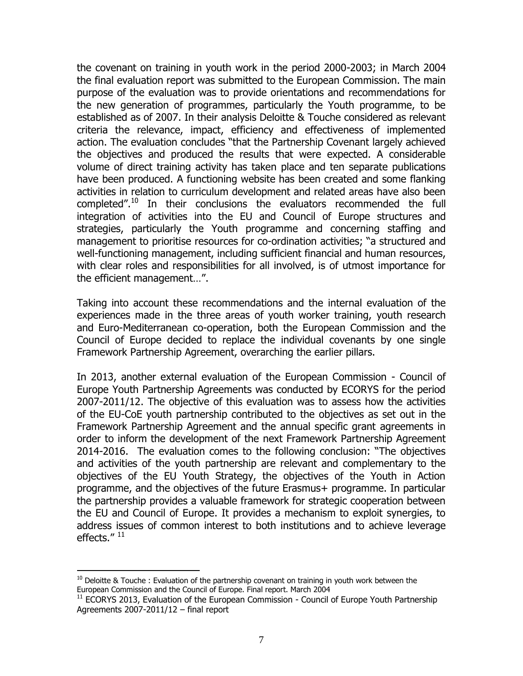the covenant on training in youth work in the period 2000-2003; in March 2004 the final evaluation report was submitted to the European Commission. The main purpose of the evaluation was to provide orientations and recommendations for the new generation of programmes, particularly the Youth programme, to be established as of 2007. In their analysis Deloitte & Touche considered as relevant criteria the relevance, impact, efficiency and effectiveness of implemented action. The evaluation concludes "that the Partnership Covenant largely achieved the objectives and produced the results that were expected. A considerable volume of direct training activity has taken place and ten separate publications have been produced. A functioning website has been created and some flanking activities in relation to curriculum development and related areas have also been completed".<sup>10</sup> In their conclusions the evaluators recommended the full integration of activities into the EU and Council of Europe structures and strategies, particularly the Youth programme and concerning staffing and management to prioritise resources for co-ordination activities; "a structured and well-functioning management, including sufficient financial and human resources, with clear roles and responsibilities for all involved, is of utmost importance for the efficient management…".

Taking into account these recommendations and the internal evaluation of the experiences made in the three areas of youth worker training, youth research and Euro-Mediterranean co-operation, both the European Commission and the Council of Europe decided to replace the individual covenants by one single Framework Partnership Agreement, overarching the earlier pillars.

In 2013, another external evaluation of the European Commission - Council of Europe Youth Partnership Agreements was conducted by ECORYS for the period 2007-2011/12. The objective of this evaluation was to assess how the activities of the EU-CoE youth partnership contributed to the objectives as set out in the Framework Partnership Agreement and the annual specific grant agreements in order to inform the development of the next Framework Partnership Agreement 2014-2016. The evaluation comes to the following conclusion: "The objectives and activities of the youth partnership are relevant and complementary to the objectives of the EU Youth Strategy, the objectives of the Youth in Action programme, and the objectives of the future Erasmus+ programme. In particular the partnership provides a valuable framework for strategic cooperation between the EU and Council of Europe. It provides a mechanism to exploit synergies, to address issues of common interest to both institutions and to achieve leverage effects."  $^{11}$ 

 $10$  Deloitte & Touche : Evaluation of the partnership covenant on training in youth work between the European Commission and the Council of Europe. Final report. March 2004

 $11$  ECORYS 2013, Evaluation of the European Commission - Council of Europe Youth Partnership Agreements 2007-2011/12 – final report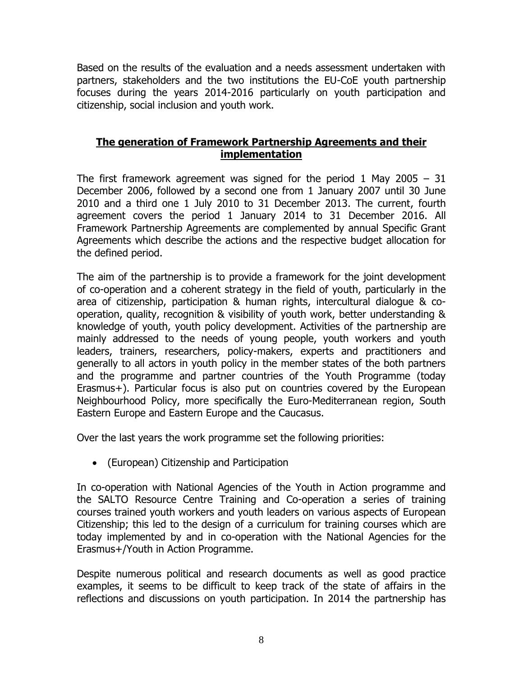Based on the results of the evaluation and a needs assessment undertaken with partners, stakeholders and the two institutions the EU-CoE youth partnership focuses during the years 2014-2016 particularly on youth participation and citizenship, social inclusion and youth work.

#### **The generation of Framework Partnership Agreements and their implementation**

The first framework agreement was signed for the period 1 May 2005 – 31 December 2006, followed by a second one from 1 January 2007 until 30 June 2010 and a third one 1 July 2010 to 31 December 2013. The current, fourth agreement covers the period 1 January 2014 to 31 December 2016. All Framework Partnership Agreements are complemented by annual Specific Grant Agreements which describe the actions and the respective budget allocation for the defined period.

The aim of the partnership is to provide a framework for the joint development of co-operation and a coherent strategy in the field of youth, particularly in the area of citizenship, participation & human rights, intercultural dialogue & cooperation, quality, recognition & visibility of youth work, better understanding & knowledge of youth, youth policy development. Activities of the partnership are mainly addressed to the needs of young people, youth workers and youth leaders, trainers, researchers, policy-makers, experts and practitioners and generally to all actors in youth policy in the member states of the both partners and the programme and partner countries of the Youth Programme (today Erasmus+). Particular focus is also put on countries covered by the European Neighbourhood Policy, more specifically the Euro-Mediterranean region, South Eastern Europe and Eastern Europe and the Caucasus.

Over the last years the work programme set the following priorities:

(European) Citizenship and Participation

In co-operation with National Agencies of the Youth in Action programme and the SALTO Resource Centre Training and Co-operation a series of training courses trained youth workers and youth leaders on various aspects of European Citizenship; this led to the design of a curriculum for training courses which are today implemented by and in co-operation with the National Agencies for the Erasmus+/Youth in Action Programme.

Despite numerous political and research documents as well as good practice examples, it seems to be difficult to keep track of the state of affairs in the reflections and discussions on youth participation. In 2014 the partnership has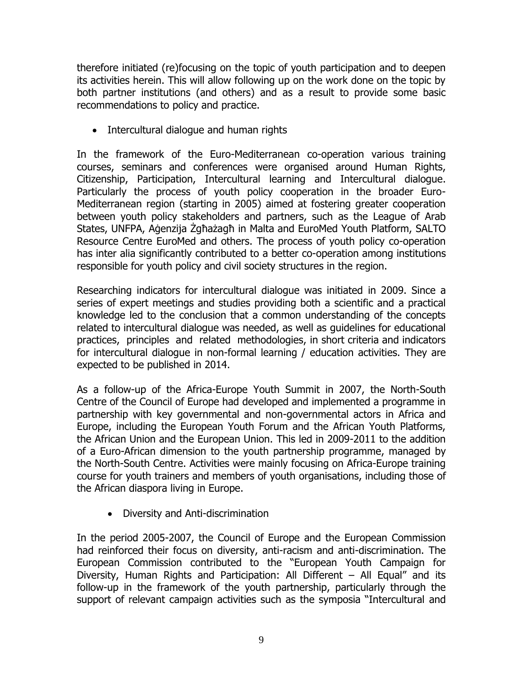therefore initiated (re)focusing on the topic of youth participation and to deepen its activities herein. This will allow following up on the work done on the topic by both partner institutions (and others) and as a result to provide some basic recommendations to policy and practice.

• Intercultural dialogue and human rights

In the framework of the Euro-Mediterranean co-operation various training courses, seminars and conferences were organised around Human Rights, Citizenship, Participation, Intercultural learning and Intercultural dialogue. Particularly the process of youth policy cooperation in the broader Euro-Mediterranean region (starting in 2005) aimed at fostering greater cooperation between youth policy stakeholders and partners, such as the League of Arab States, UNFPA, Aġenzija Żgħażagħ in Malta and EuroMed Youth Platform, SALTO Resource Centre EuroMed and others. The process of youth policy co-operation has inter alia significantly contributed to a better co-operation among institutions responsible for youth policy and civil society structures in the region.

Researching indicators for intercultural dialogue was initiated in 2009. Since a series of expert meetings and studies providing both a scientific and a practical knowledge led to the conclusion that a common understanding of the concepts related to intercultural dialogue was needed, as well as guidelines for educational practices, principles and related methodologies, in short criteria and indicators for intercultural dialogue in non-formal learning / education activities. They are expected to be published in 2014.

As a follow-up of the Africa-Europe Youth Summit in 2007, the North-South Centre of the Council of Europe had developed and implemented a programme in partnership with key governmental and non-governmental actors in Africa and Europe, including the European Youth Forum and the African Youth Platforms, the African Union and the European Union. This led in 2009-2011 to the addition of a Euro-African dimension to the youth partnership programme, managed by the North-South Centre. Activities were mainly focusing on Africa-Europe training course for youth trainers and members of youth organisations, including those of the African diaspora living in Europe.

Diversity and Anti-discrimination

In the period 2005-2007, the Council of Europe and the European Commission had reinforced their focus on diversity, anti-racism and anti-discrimination. The European Commission contributed to the "European Youth Campaign for Diversity, Human Rights and Participation: All Different – All Equal" and its follow-up in the framework of the youth partnership, particularly through the support of relevant campaign activities such as the symposia "Intercultural and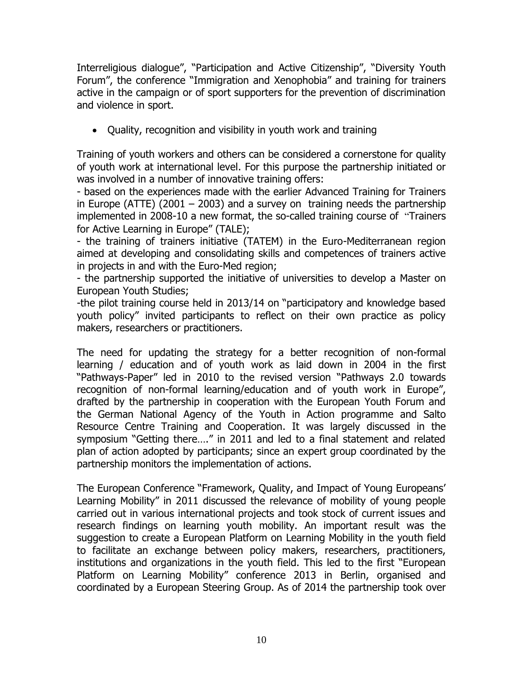Interreligious dialogue", "Participation and Active Citizenship", "Diversity Youth Forum", the conference "Immigration and Xenophobia" and training for trainers active in the campaign or of sport supporters for the prevention of discrimination and violence in sport.

Quality, recognition and visibility in youth work and training

Training of youth workers and others can be considered a cornerstone for quality of youth work at international level. For this purpose the partnership initiated or was involved in a number of innovative training offers:

- based on the experiences made with the earlier Advanced Training for Trainers in Europe (ATTE) (2001 – 2003) and a survey on training needs the partnership implemented in 2008-10 a new format, the so-called training course of "Trainers for Active Learning in Europe" (TALE);

- the training of trainers initiative (TATEM) in the Euro-Mediterranean region aimed at developing and consolidating skills and competences of trainers active in projects in and with the Euro-Med region;

- the partnership supported the initiative of universities to develop a Master on European Youth Studies;

-the pilot training course held in 2013/14 on "participatory and knowledge based youth policy" invited participants to reflect on their own practice as policy makers, researchers or practitioners.

The need for updating the strategy for a better recognition of non-formal learning / education and of youth work as laid down in 2004 in the first "Pathways-Paper" led in 2010 to the revised version "Pathways 2.0 towards recognition of non-formal learning/education and of youth work in Europe", drafted by the partnership in cooperation with the European Youth Forum and the German National Agency of the Youth in Action programme and Salto Resource Centre Training and Cooperation. It was largely discussed in the symposium "Getting there…." in 2011 and led to a final statement and related plan of action adopted by participants; since an expert group coordinated by the partnership monitors the implementation of actions.

The European Conference "Framework, Quality, and Impact of Young Europeans' Learning Mobility" in 2011 discussed the relevance of mobility of young people carried out in various international projects and took stock of current issues and research findings on learning youth mobility. An important result was the suggestion to create a European Platform on Learning Mobility in the youth field to facilitate an exchange between policy makers, researchers, practitioners, institutions and organizations in the youth field. This led to the first "European Platform on Learning Mobility" conference 2013 in Berlin, organised and coordinated by a European Steering Group. As of 2014 the partnership took over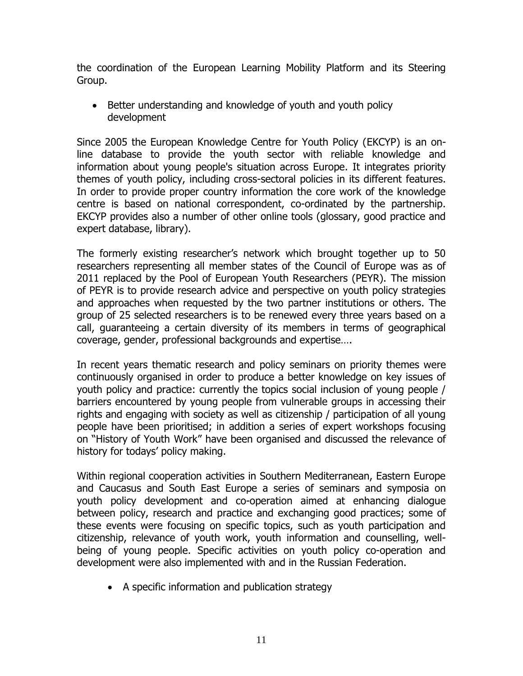the coordination of the European Learning Mobility Platform and its Steering Group.

• Better understanding and knowledge of youth and youth policy development

Since 2005 the European Knowledge Centre for Youth Policy (EKCYP) is an online database to provide the youth sector with reliable knowledge and information about young people's situation across Europe. It integrates priority themes of youth policy, including cross-sectoral policies in its different features. In order to provide proper country information the core work of the knowledge centre is based on national correspondent, co-ordinated by the partnership. EKCYP provides also a number of other online tools (glossary, good practice and expert database, library).

The formerly existing researcher's network which brought together up to 50 researchers representing all member states of the Council of Europe was as of 2011 replaced by the Pool of European Youth Researchers (PEYR). The mission of PEYR is to provide research advice and perspective on youth policy strategies and approaches when requested by the two partner institutions or others. The group of 25 selected researchers is to be renewed every three years based on a call, guaranteeing a certain diversity of its members in terms of geographical coverage, gender, professional backgrounds and expertise….

In recent years thematic research and policy seminars on priority themes were continuously organised in order to produce a better knowledge on key issues of youth policy and practice: currently the topics social inclusion of young people / barriers encountered by young people from vulnerable groups in accessing their rights and engaging with society as well as citizenship / participation of all young people have been prioritised; in addition a series of expert workshops focusing on "History of Youth Work" have been organised and discussed the relevance of history for todays' policy making.

Within regional cooperation activities in Southern Mediterranean, Eastern Europe and Caucasus and South East Europe a series of seminars and symposia on youth policy development and co-operation aimed at enhancing dialogue between policy, research and practice and exchanging good practices; some of these events were focusing on specific topics, such as youth participation and citizenship, relevance of youth work, youth information and counselling, wellbeing of young people. Specific activities on youth policy co-operation and development were also implemented with and in the Russian Federation.

A specific information and publication strategy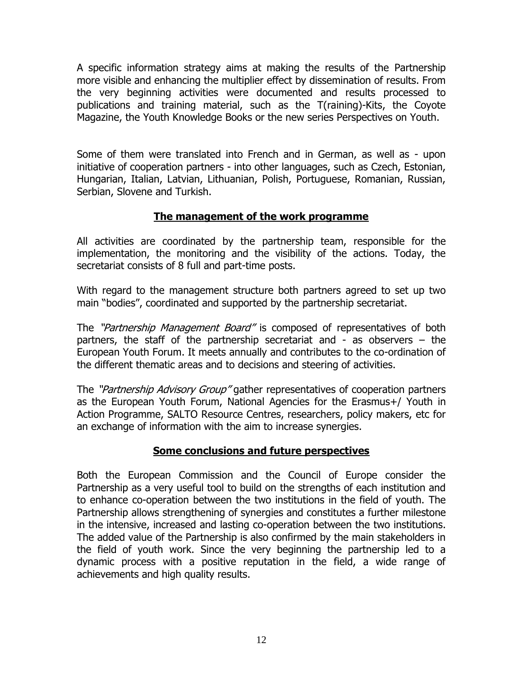A specific information strategy aims at making the results of the Partnership more visible and enhancing the multiplier effect by dissemination of results. From the very beginning activities were documented and results processed to publications and training material, such as the T(raining)-Kits, the Coyote Magazine, the Youth Knowledge Books or the new series Perspectives on Youth.

Some of them were translated into French and in German, as well as - upon initiative of cooperation partners - into other languages, such as Czech, Estonian, Hungarian, Italian, Latvian, Lithuanian, Polish, Portuguese, Romanian, Russian, Serbian, Slovene and Turkish.

#### **The management of the work programme**

All activities are coordinated by the partnership team, responsible for the implementation, the monitoring and the visibility of the actions. Today, the secretariat consists of 8 full and part-time posts.

With regard to the management structure both partners agreed to set up two main "bodies", coordinated and supported by the partnership secretariat.

The "Partnership Management Board" is composed of representatives of both partners, the staff of the partnership secretariat and - as observers – the European Youth Forum. It meets annually and contributes to the co-ordination of the different thematic areas and to decisions and steering of activities.

The "Partnership Advisory Group" gather representatives of cooperation partners as the European Youth Forum, National Agencies for the Erasmus+/ Youth in Action Programme, SALTO Resource Centres, researchers, policy makers, etc for an exchange of information with the aim to increase synergies.

## **Some conclusions and future perspectives**

Both the European Commission and the Council of Europe consider the Partnership as a very useful tool to build on the strengths of each institution and to enhance co-operation between the two institutions in the field of youth. The Partnership allows strengthening of synergies and constitutes a further milestone in the intensive, increased and lasting co-operation between the two institutions. The added value of the Partnership is also confirmed by the main stakeholders in the field of youth work. Since the very beginning the partnership led to a dynamic process with a positive reputation in the field, a wide range of achievements and high quality results.